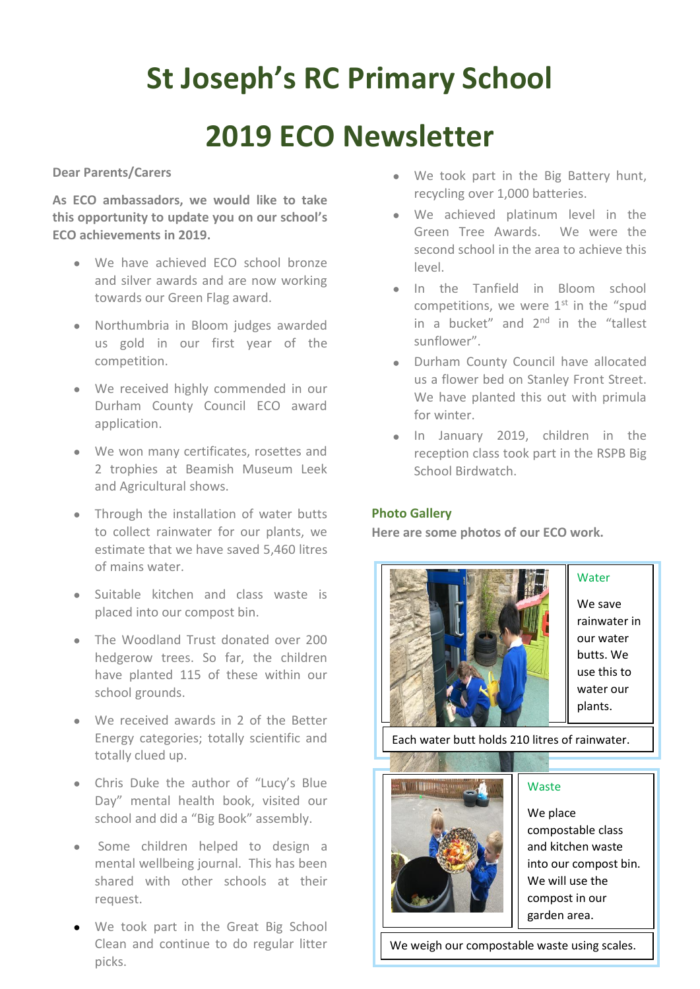# **St Joseph's RC Primary School**

## **2019 ECO Newsletter**

**Dear Parents/Carers**

**As ECO ambassadors, we would like to take this opportunity to update you on our school's ECO achievements in 2019.**

- We have achieved ECO school bronze and silver awards and are now working towards our Green Flag award.
- Northumbria in Bloom judges awarded us gold in our first year of the competition.
- • We received highly commended in our Durham County Council ECO award application.
- We won many certificates, rosettes and 2 trophies at Beamish Museum Leek and Agricultural shows.
- Through the installation of water butts to collect rainwater for our plants, we estimate that we have saved 5,460 litres of mains water.
- Suitable kitchen and class waste is placed into our compost bin.
- The Woodland Trust donated over 200 hedgerow trees. So far, the children have planted 115 of these within our school grounds.
- We received awards in 2 of the Better Energy categories; totally scientific and totally clued up.
- Chris Duke the author of "Lucy's Blue Day" mental health book, visited our school and did a "Big Book" assembly.
- Some children helped to design a mental wellbeing journal. This has been shared with other schools at their request.
- We took part in the Great Big School Clean and continue to do regular litter picks.
- We took part in the Big Battery hunt, recycling over 1,000 batteries.
- We achieved platinum level in the Green Tree Awards. We were the second school in the area to achieve this level.
- In the Tanfield in Bloom school competitions, we were  $1<sup>st</sup>$  in the "spud in a bucket" and 2<sup>nd</sup> in the "tallest sunflower".
- Durham County Council have allocated us a flower bed on Stanley Front Street. We have planted this out with primula for winter.
- In January 2019, children in the reception class took part in the RSPB Big School Birdwatch.

## **Photo Gallery**

**Here are some photos of our ECO work.** 



We save rainwater in our water butts. We use this to water our plants.

**Water** 

Each water butt holds 210 litres of rainwater.



## Waste

We place compostable class and kitchen waste into our compost bin. We will use the compost in our garden area.

We weigh our compostable waste using scales.